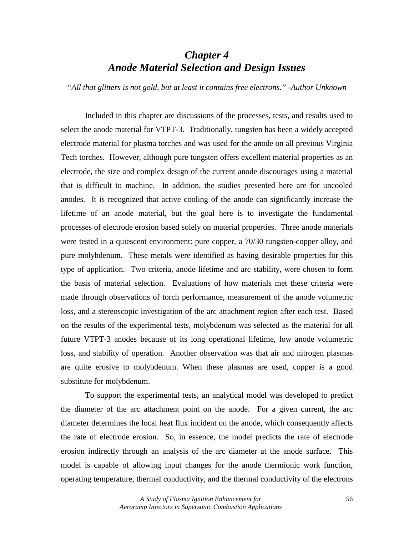# *Chapter 4 Anode Material Selection and Design Issues*

*"All that glitters is not gold, but at least it contains free electrons." -Author Unknown* 

 Included in this chapter are discussions of the processes, tests, and results used to select the anode material for VTPT-3. Traditionally, tungsten has been a widely accepted electrode material for plasma torches and was used for the anode on all previous Virginia Tech torches. However, although pure tungsten offers excellent material properties as an electrode, the size and complex design of the current anode discourages using a material that is difficult to machine. In addition, the studies presented here are for uncooled anodes. It is recognized that active cooling of the anode can significantly increase the lifetime of an anode material, but the goal here is to investigate the fundamental processes of electrode erosion based solely on material properties. Three anode materials were tested in a quiescent environment: pure copper, a 70/30 tungsten-copper alloy, and pure molybdenum. These metals were identified as having desirable properties for this type of application. Two criteria, anode lifetime and arc stability, were chosen to form the basis of material selection. Evaluations of how materials met these criteria were made through observations of torch performance, measurement of the anode volumetric loss, and a stereoscopic investigation of the arc attachment region after each test. Based on the results of the experimental tests, molybdenum was selected as the material for all future VTPT-3 anodes because of its long operational lifetime, low anode volumetric loss, and stability of operation. Another observation was that air and nitrogen plasmas are quite erosive to molybdenum. When these plasmas are used, copper is a good substitute for molybdenum.

 To support the experimental tests, an analytical model was developed to predict the diameter of the arc attachment point on the anode. For a given current, the arc diameter determines the local heat flux incident on the anode, which consequently affects the rate of electrode erosion. So, in essence, the model predicts the rate of electrode erosion indirectly through an analysis of the arc diameter at the anode surface. This model is capable of allowing input changes for the anode thermionic work function, operating temperature, thermal conductivity, and the thermal conductivity of the electrons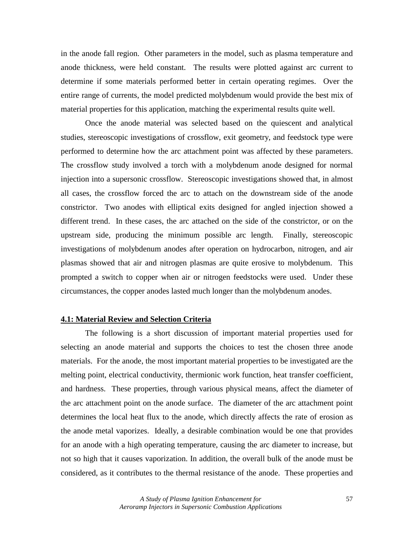in the anode fall region. Other parameters in the model, such as plasma temperature and anode thickness, were held constant. The results were plotted against arc current to determine if some materials performed better in certain operating regimes. Over the entire range of currents, the model predicted molybdenum would provide the best mix of material properties for this application, matching the experimental results quite well.

 Once the anode material was selected based on the quiescent and analytical studies, stereoscopic investigations of crossflow, exit geometry, and feedstock type were performed to determine how the arc attachment point was affected by these parameters. The crossflow study involved a torch with a molybdenum anode designed for normal injection into a supersonic crossflow. Stereoscopic investigations showed that, in almost all cases, the crossflow forced the arc to attach on the downstream side of the anode constrictor. Two anodes with elliptical exits designed for angled injection showed a different trend. In these cases, the arc attached on the side of the constrictor, or on the upstream side, producing the minimum possible arc length. Finally, stereoscopic investigations of molybdenum anodes after operation on hydrocarbon, nitrogen, and air plasmas showed that air and nitrogen plasmas are quite erosive to molybdenum. This prompted a switch to copper when air or nitrogen feedstocks were used. Under these circumstances, the copper anodes lasted much longer than the molybdenum anodes.

# **4.1: Material Review and Selection Criteria**

 The following is a short discussion of important material properties used for selecting an anode material and supports the choices to test the chosen three anode materials. For the anode, the most important material properties to be investigated are the melting point, electrical conductivity, thermionic work function, heat transfer coefficient, and hardness. These properties, through various physical means, affect the diameter of the arc attachment point on the anode surface. The diameter of the arc attachment point determines the local heat flux to the anode, which directly affects the rate of erosion as the anode metal vaporizes. Ideally, a desirable combination would be one that provides for an anode with a high operating temperature, causing the arc diameter to increase, but not so high that it causes vaporization. In addition, the overall bulk of the anode must be considered, as it contributes to the thermal resistance of the anode. These properties and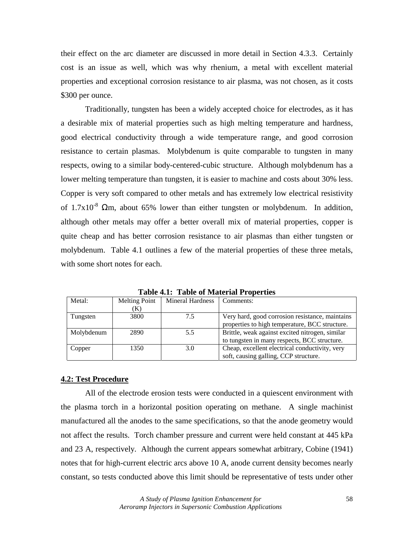their effect on the arc diameter are discussed in more detail in Section 4.3.3. Certainly cost is an issue as well, which was why rhenium, a metal with excellent material properties and exceptional corrosion resistance to air plasma, was not chosen, as it costs \$300 per ounce.

 Traditionally, tungsten has been a widely accepted choice for electrodes, as it has a desirable mix of material properties such as high melting temperature and hardness, good electrical conductivity through a wide temperature range, and good corrosion resistance to certain plasmas. Molybdenum is quite comparable to tungsten in many respects, owing to a similar body-centered-cubic structure. Although molybdenum has a lower melting temperature than tungsten, it is easier to machine and costs about 30% less. Copper is very soft compared to other metals and has extremely low electrical resistivity of  $1.7x10^{-8}$   $\Omega$ m, about 65% lower than either tungsten or molybdenum. In addition, although other metals may offer a better overall mix of material properties, copper is quite cheap and has better corrosion resistance to air plasmas than either tungsten or molybdenum. Table 4.1 outlines a few of the material properties of these three metals, with some short notes for each.

| Metal:     | Melting Point | Mineral Hardness | Comments:                                       |
|------------|---------------|------------------|-------------------------------------------------|
|            | K)            |                  |                                                 |
| Tungsten   | 3800          | 7.5              | Very hard, good corrosion resistance, maintains |
|            |               |                  | properties to high temperature, BCC structure.  |
| Molybdenum | 2890          | 5.5              | Brittle, weak against excited nitrogen, similar |
|            |               |                  | to tungsten in many respects, BCC structure.    |
| Copper     | 1350          | 3.0              | Cheap, excellent electrical conductivity, very  |
|            |               |                  | soft, causing galling, CCP structure.           |

**Table 4.1: Table of Material Properties** 

#### **4.2: Test Procedure**

 All of the electrode erosion tests were conducted in a quiescent environment with the plasma torch in a horizontal position operating on methane. A single machinist manufactured all the anodes to the same specifications, so that the anode geometry would not affect the results. Torch chamber pressure and current were held constant at 445 kPa and 23 A, respectively. Although the current appears somewhat arbitrary, Cobine (1941) notes that for high-current electric arcs above 10 A, anode current density becomes nearly constant, so tests conducted above this limit should be representative of tests under other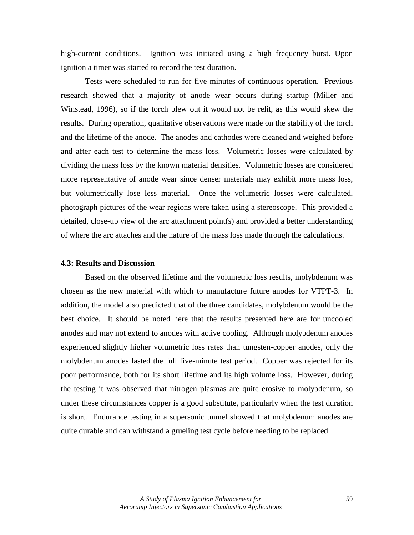high-current conditions. Ignition was initiated using a high frequency burst. Upon ignition a timer was started to record the test duration.

Tests were scheduled to run for five minutes of continuous operation. Previous research showed that a majority of anode wear occurs during startup (Miller and Winstead, 1996), so if the torch blew out it would not be relit, as this would skew the results. During operation, qualitative observations were made on the stability of the torch and the lifetime of the anode. The anodes and cathodes were cleaned and weighed before and after each test to determine the mass loss. Volumetric losses were calculated by dividing the mass loss by the known material densities. Volumetric losses are considered more representative of anode wear since denser materials may exhibit more mass loss, but volumetrically lose less material. Once the volumetric losses were calculated, photograph pictures of the wear regions were taken using a stereoscope. This provided a detailed, close-up view of the arc attachment point(s) and provided a better understanding of where the arc attaches and the nature of the mass loss made through the calculations.

#### **4.3: Results and Discussion**

 Based on the observed lifetime and the volumetric loss results, molybdenum was chosen as the new material with which to manufacture future anodes for VTPT-3. In addition, the model also predicted that of the three candidates, molybdenum would be the best choice. It should be noted here that the results presented here are for uncooled anodes and may not extend to anodes with active cooling. Although molybdenum anodes experienced slightly higher volumetric loss rates than tungsten-copper anodes, only the molybdenum anodes lasted the full five-minute test period. Copper was rejected for its poor performance, both for its short lifetime and its high volume loss. However, during the testing it was observed that nitrogen plasmas are quite erosive to molybdenum, so under these circumstances copper is a good substitute, particularly when the test duration is short. Endurance testing in a supersonic tunnel showed that molybdenum anodes are quite durable and can withstand a grueling test cycle before needing to be replaced.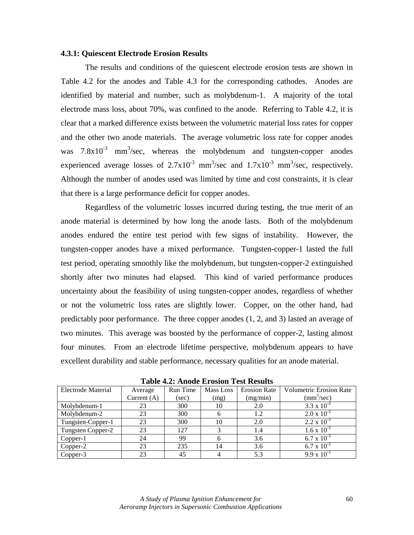## **4.3.1: Quiescent Electrode Erosion Results**

The results and conditions of the quiescent electrode erosion tests are shown in Table 4.2 for the anodes and Table 4.3 for the corresponding cathodes. Anodes are identified by material and number, such as molybdenum-1. A majority of the total electrode mass loss, about 70%, was confined to the anode. Referring to Table 4.2, it is clear that a marked difference exists between the volumetric material loss rates for copper and the other two anode materials. The average volumetric loss rate for copper anodes was  $7.8 \times 10^{-3}$  mm<sup>3</sup>/sec, whereas the molybdenum and tungsten-copper anodes experienced average losses of  $2.7 \times 10^{-3}$  mm<sup>3</sup>/sec and  $1.7 \times 10^{-3}$  mm<sup>3</sup>/sec, respectively. Although the number of anodes used was limited by time and cost constraints, it is clear that there is a large performance deficit for copper anodes.

Regardless of the volumetric losses incurred during testing, the true merit of an anode material is determined by how long the anode lasts. Both of the molybdenum anodes endured the entire test period with few signs of instability. However, the tungsten-copper anodes have a mixed performance. Tungsten-copper-1 lasted the full test period, operating smoothly like the molybdenum, but tungsten-copper-2 extinguished shortly after two minutes had elapsed. This kind of varied performance produces uncertainty about the feasibility of using tungsten-copper anodes, regardless of whether or not the volumetric loss rates are slightly lower. Copper, on the other hand, had predictably poor performance. The three copper anodes (1, 2, and 3) lasted an average of two minutes. This average was boosted by the performance of copper-2, lasting almost four minutes. From an electrode lifetime perspective, molybdenum appears to have excellent durability and stable performance, necessary qualities for an anode material.

| Electrode Material | Average       | <b>Run Time</b> | Mass Loss | <b>Erosion Rate</b> | <b>Volumetric Erosion Rate</b> |
|--------------------|---------------|-----------------|-----------|---------------------|--------------------------------|
|                    | Current $(A)$ | (sec)           | (mg)      | (mg/min)            | $\text{(mm}^3/\text{sec})$     |
| Molybdenum-1       | 23            | 300             | 10        | 2.0                 | 3.3 x $10^{-3}$                |
| Molybdenum-2       | 23            | 300             | b         | 1.2                 | $2.0 \times 10^{-3}$           |
| Tungsten-Copper-1  | 23            | 300             | 10        | 2.0                 | $2.2 \times 10^{-3}$           |
| Tungsten Copper-2  | 23            | 127             |           | 1.4                 | $1.6 \times 10^{-3}$           |
| Copper-1           | 24            | 99              | 6         | 3.6                 | $6.7 \times 10^{-3}$           |
| Copper-2           | 23            | 235             | 14        | 3.6                 | $6.7 \times 10^{-3}$           |
| Copper-3           | 23            | 45              |           | 5.3                 | $9.9 \times 10^{-3}$           |

**Table 4.2: Anode Erosion Test Results**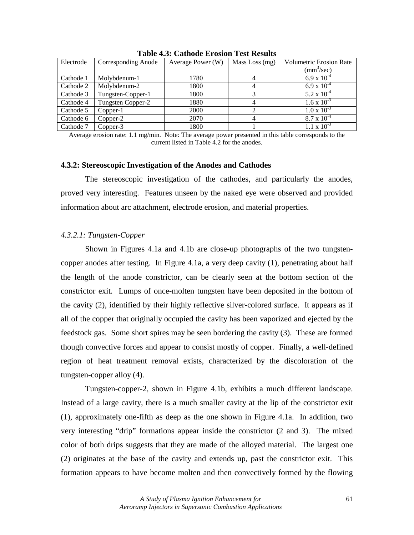| Electrode | Corresponding Anode | Average Power (W) | Mass Loss $(mg)$ | <b>Volumetric Erosion Rate</b> |  |
|-----------|---------------------|-------------------|------------------|--------------------------------|--|
|           |                     |                   |                  | $\text{(mm}^3/\text{sec})$     |  |
| Cathode 1 | Molybdenum-1        | 1780              |                  | $6.9 \times 10^{-4}$           |  |
| Cathode 2 | Molybdenum-2        | 1800              |                  | $6.9 \times 10^{-4}$           |  |
| Cathode 3 | Tungsten-Copper-1   | 1800              |                  | 5.2 x $10^{-4}$                |  |
| Cathode 4 | Tungsten Copper-2   | 1880              |                  | $1.6 \times 10^{-3}$           |  |
| Cathode 5 | Copper-1            | 2000              |                  | $1.0 \times 10^{-3}$           |  |
| Cathode 6 | Copper-2            | 2070              |                  | $8.7 \times 10^{-4}$           |  |
| Cathode 7 | Copper-3            | 1800              |                  | $1.1 \times 10^{-3}$           |  |

**Table 4.3: Cathode Erosion Test Results** 

Average erosion rate: 1.1 mg/min. Note: The average power presented in this table corresponds to the current listed in Table 4.2 for the anodes.

#### **4.3.2: Stereoscopic Investigation of the Anodes and Cathodes**

 The stereoscopic investigation of the cathodes, and particularly the anodes, proved very interesting. Features unseen by the naked eye were observed and provided information about arc attachment, electrode erosion, and material properties.

## *4.3.2.1: Tungsten-Copper*

 Shown in Figures 4.1a and 4.1b are close-up photographs of the two tungstencopper anodes after testing. In Figure 4.1a, a very deep cavity (1), penetrating about half the length of the anode constrictor, can be clearly seen at the bottom section of the constrictor exit. Lumps of once-molten tungsten have been deposited in the bottom of the cavity (2), identified by their highly reflective silver-colored surface. It appears as if all of the copper that originally occupied the cavity has been vaporized and ejected by the feedstock gas. Some short spires may be seen bordering the cavity (3). These are formed though convective forces and appear to consist mostly of copper. Finally, a well-defined region of heat treatment removal exists, characterized by the discoloration of the tungsten-copper alloy (4).

Tungsten-copper-2, shown in Figure 4.1b, exhibits a much different landscape. Instead of a large cavity, there is a much smaller cavity at the lip of the constrictor exit (1), approximately one-fifth as deep as the one shown in Figure 4.1a. In addition, two very interesting "drip" formations appear inside the constrictor (2 and 3). The mixed color of both drips suggests that they are made of the alloyed material. The largest one (2) originates at the base of the cavity and extends up, past the constrictor exit. This formation appears to have become molten and then convectively formed by the flowing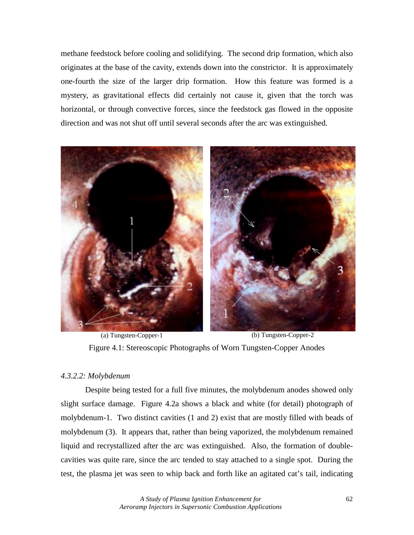methane feedstock before cooling and solidifying. The second drip formation, which also originates at the base of the cavity, extends down into the constrictor. It is approximately one-fourth the size of the larger drip formation. How this feature was formed is a mystery, as gravitational effects did certainly not cause it, given that the torch was horizontal, or through convective forces, since the feedstock gas flowed in the opposite direction and was not shut off until several seconds after the arc was extinguished.



(a) Tungsten-Copper-1 (b) Tungsten-Copper-2 Figure 4.1: Stereoscopic Photographs of Worn Tungsten-Copper Anodes

## *4.3.2.2: Molybdenum*

 Despite being tested for a full five minutes, the molybdenum anodes showed only slight surface damage. Figure 4.2a shows a black and white (for detail) photograph of molybdenum-1. Two distinct cavities (1 and 2) exist that are mostly filled with beads of molybdenum (3). It appears that, rather than being vaporized, the molybdenum remained liquid and recrystallized after the arc was extinguished. Also, the formation of doublecavities was quite rare, since the arc tended to stay attached to a single spot. During the test, the plasma jet was seen to whip back and forth like an agitated cat's tail, indicating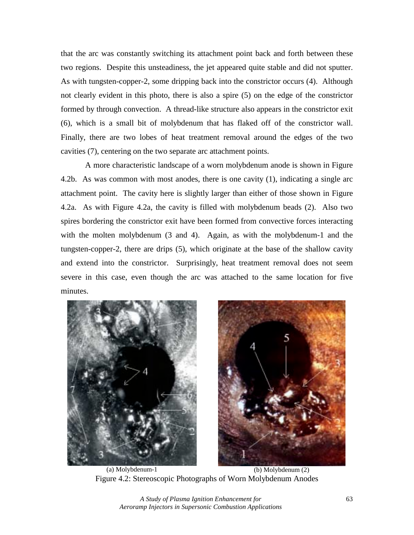that the arc was constantly switching its attachment point back and forth between these two regions. Despite this unsteadiness, the jet appeared quite stable and did not sputter. As with tungsten-copper-2, some dripping back into the constrictor occurs (4). Although not clearly evident in this photo, there is also a spire (5) on the edge of the constrictor formed by through convection. A thread-like structure also appears in the constrictor exit (6), which is a small bit of molybdenum that has flaked off of the constrictor wall. Finally, there are two lobes of heat treatment removal around the edges of the two cavities (7), centering on the two separate arc attachment points.

 A more characteristic landscape of a worn molybdenum anode is shown in Figure 4.2b. As was common with most anodes, there is one cavity (1), indicating a single arc attachment point. The cavity here is slightly larger than either of those shown in Figure 4.2a. As with Figure 4.2a, the cavity is filled with molybdenum beads (2). Also two spires bordering the constrictor exit have been formed from convective forces interacting with the molten molybdenum (3 and 4). Again, as with the molybdenum-1 and the tungsten-copper-2, there are drips (5), which originate at the base of the shallow cavity and extend into the constrictor. Surprisingly, heat treatment removal does not seem severe in this case, even though the arc was attached to the same location for five minutes.





(a) Molybdenum-1 (b) Molybdenum (2) Figure 4.2: Stereoscopic Photographs of Worn Molybdenum Anodes

*A Study of Plasma Ignition Enhancement for*  63 *Aeroramp Injectors in Supersonic Combustion Applications*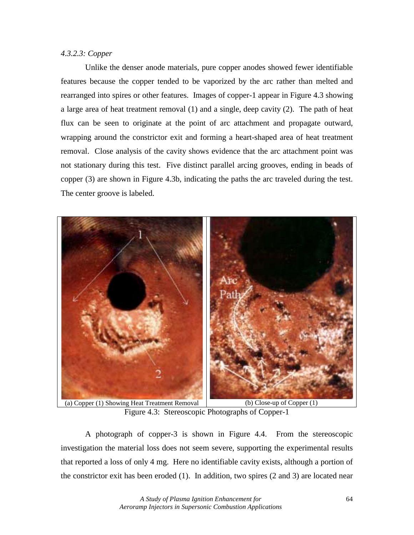# *4.3.2.3: Copper*

Unlike the denser anode materials, pure copper anodes showed fewer identifiable features because the copper tended to be vaporized by the arc rather than melted and rearranged into spires or other features. Images of copper-1 appear in Figure 4.3 showing a large area of heat treatment removal (1) and a single, deep cavity (2). The path of heat flux can be seen to originate at the point of arc attachment and propagate outward, wrapping around the constrictor exit and forming a heart-shaped area of heat treatment removal. Close analysis of the cavity shows evidence that the arc attachment point was not stationary during this test. Five distinct parallel arcing grooves, ending in beads of copper (3) are shown in Figure 4.3b, indicating the paths the arc traveled during the test. The center groove is labeled.



Figure 4.3: Stereoscopic Photographs of Copper-1

A photograph of copper-3 is shown in Figure 4.4. From the stereoscopic investigation the material loss does not seem severe, supporting the experimental results that reported a loss of only 4 mg. Here no identifiable cavity exists, although a portion of the constrictor exit has been eroded (1). In addition, two spires (2 and 3) are located near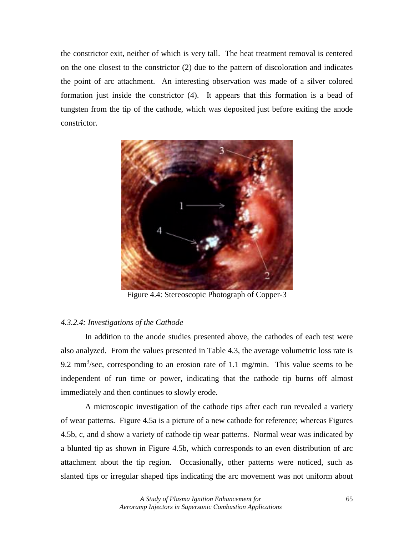the constrictor exit, neither of which is very tall. The heat treatment removal is centered on the one closest to the constrictor (2) due to the pattern of discoloration and indicates the point of arc attachment. An interesting observation was made of a silver colored formation just inside the constrictor (4). It appears that this formation is a bead of tungsten from the tip of the cathode, which was deposited just before exiting the anode constrictor.



Figure 4.4: Stereoscopic Photograph of Copper-3

# *4.3.2.4: Investigations of the Cathode*

In addition to the anode studies presented above, the cathodes of each test were also analyzed. From the values presented in Table 4.3, the average volumetric loss rate is 9.2 mm<sup>3</sup>/sec, corresponding to an erosion rate of 1.1 mg/min. This value seems to be independent of run time or power, indicating that the cathode tip burns off almost immediately and then continues to slowly erode.

A microscopic investigation of the cathode tips after each run revealed a variety of wear patterns. Figure 4.5a is a picture of a new cathode for reference; whereas Figures 4.5b, c, and d show a variety of cathode tip wear patterns. Normal wear was indicated by a blunted tip as shown in Figure 4.5b, which corresponds to an even distribution of arc attachment about the tip region. Occasionally, other patterns were noticed, such as slanted tips or irregular shaped tips indicating the arc movement was not uniform about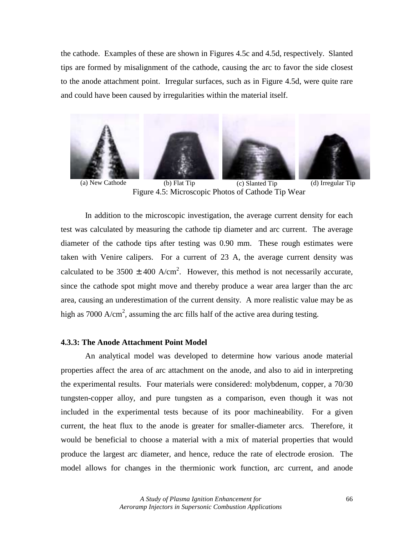the cathode. Examples of these are shown in Figures 4.5c and 4.5d, respectively. Slanted tips are formed by misalignment of the cathode, causing the arc to favor the side closest to the anode attachment point. Irregular surfaces, such as in Figure 4.5d, were quite rare and could have been caused by irregularities within the material itself.



Figure 4.5: Microscopic Photos of Cathode Tip Wear

In addition to the microscopic investigation, the average current density for each test was calculated by measuring the cathode tip diameter and arc current. The average diameter of the cathode tips after testing was 0.90 mm. These rough estimates were taken with Venire calipers. For a current of 23 A, the average current density was calculated to be 3500  $\pm$  400 A/cm<sup>2</sup>. However, this method is not necessarily accurate, since the cathode spot might move and thereby produce a wear area larger than the arc area, causing an underestimation of the current density. A more realistic value may be as high as 7000  $A/cm^2$ , assuming the arc fills half of the active area during testing.

#### **4.3.3: The Anode Attachment Point Model**

 An analytical model was developed to determine how various anode material properties affect the area of arc attachment on the anode, and also to aid in interpreting the experimental results. Four materials were considered: molybdenum, copper, a 70/30 tungsten-copper alloy, and pure tungsten as a comparison, even though it was not included in the experimental tests because of its poor machineability. For a given current, the heat flux to the anode is greater for smaller-diameter arcs. Therefore, it would be beneficial to choose a material with a mix of material properties that would produce the largest arc diameter, and hence, reduce the rate of electrode erosion. The model allows for changes in the thermionic work function, arc current, and anode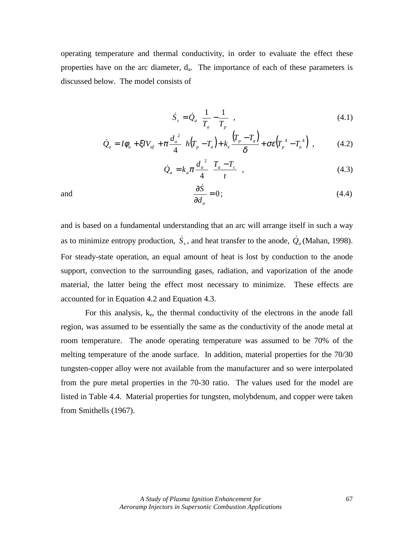operating temperature and thermal conductivity, in order to evaluate the effect these properties have on the arc diameter,  $d_a$ . The importance of each of these parameters is discussed below. The model consists of

$$
\dot{S}_s = \dot{Q}_a \left( \frac{1}{T_a} - \frac{1}{T_p} \right),\tag{4.1}
$$

$$
\dot{Q}_a = I\phi_a + \xi IV_{af} + \pi \frac{d_a^2}{4} \bigg[ h(T_p - T_a) + k_e \frac{(T_p - T_a)}{\delta} + \sigma \varepsilon (T_p^4 - T_a^4) \bigg], \qquad (4.2)
$$

$$
\dot{Q}_a = k_a \pi \frac{d_a^2}{4} \left( \frac{T_a - T_c}{t} \right),\tag{4.3}
$$

and 
$$
\frac{\partial \dot{S}}{\partial d_a} = 0;
$$
 (4.4)

and is based on a fundamental understanding that an arc will arrange itself in such a way as to minimize entropy production,  $\dot{S}_s$ , and heat transfer to the anode,  $\dot{Q}_a$  (Mahan, 1998). For steady-state operation, an equal amount of heat is lost by conduction to the anode support, convection to the surrounding gases, radiation, and vaporization of the anode material, the latter being the effect most necessary to minimize. These effects are accounted for in Equation 4.2 and Equation 4.3.

For this analysis, ke, the thermal conductivity of the electrons in the anode fall region, was assumed to be essentially the same as the conductivity of the anode metal at room temperature. The anode operating temperature was assumed to be 70% of the melting temperature of the anode surface. In addition, material properties for the 70/30 tungsten-copper alloy were not available from the manufacturer and so were interpolated from the pure metal properties in the 70-30 ratio. The values used for the model are listed in Table 4.4. Material properties for tungsten, molybdenum, and copper were taken from Smithells (1967).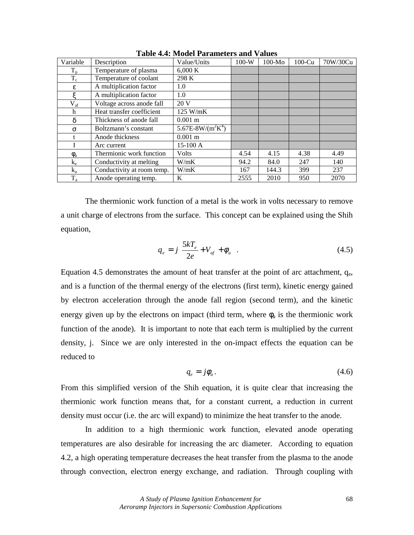| Variable            | Description                | Value/Units           | $100-W$ | $100-Mo$ | $100$ -Cu | 70W/30Cu |
|---------------------|----------------------------|-----------------------|---------|----------|-----------|----------|
| $T_{p}$             | Temperature of plasma      | 6,000K                |         |          |           |          |
| $T_c$               | Temperature of coolant     | 298 K                 |         |          |           |          |
| ε                   | A multiplication factor    | 1.0                   |         |          |           |          |
| ع                   | A multiplication factor    | 1.0                   |         |          |           |          |
| $V_{\rm af}$        | Voltage across anode fall  | 20 V                  |         |          |           |          |
| h                   | Heat transfer coefficient  | 125 W/mK              |         |          |           |          |
| δ                   | Thickness of anode fall    | $0.001 \; \mathrm{m}$ |         |          |           |          |
| $\sigma$            | Boltzmann's constant       | 5.67E-8W/( $m^2K^4$ ) |         |          |           |          |
| t                   | Anode thickness            | $0.001 \; \mathrm{m}$ |         |          |           |          |
|                     | Arc current                | 15-100 A              |         |          |           |          |
| $\phi$ <sub>a</sub> | Thermionic work function   | <b>Volts</b>          | 4.54    | 4.15     | 4.38      | 4.49     |
| $k_{e}$             | Conductivity at melting    | W/mK                  | 94.2    | 84.0     | 247       | 140      |
| $k_a$               | Conductivity at room temp. | W/mK                  | 167     | 144.3    | 399       | 237      |
| $\rm T_a$           | Anode operating temp.      | K                     | 2555    | 2010     | 950       | 2070     |

**Table 4.4: Model Parameters and Values** 

The thermionic work function of a metal is the work in volts necessary to remove a unit charge of electrons from the surface. This concept can be explained using the Shih equation,

$$
q_e = j \left[ \frac{5kT_e}{2e} + V_{af} + \phi_a \right].
$$
 (4.5)

Equation 4.5 demonstrates the amount of heat transfer at the point of arc attachment,  $q_{e_1}$ and is a function of the thermal energy of the electrons (first term), kinetic energy gained by electron acceleration through the anode fall region (second term), and the kinetic energy given up by the electrons on impact (third term, where  $\phi_a$  is the thermionic work function of the anode). It is important to note that each term is multiplied by the current density, j. Since we are only interested in the on-impact effects the equation can be reduced to

$$
q_e = j\phi_a. \tag{4.6}
$$

From this simplified version of the Shih equation, it is quite clear that increasing the thermionic work function means that, for a constant current, a reduction in current density must occur (i.e. the arc will expand) to minimize the heat transfer to the anode.

 In addition to a high thermionic work function, elevated anode operating temperatures are also desirable for increasing the arc diameter. According to equation 4.2, a high operating temperature decreases the heat transfer from the plasma to the anode through convection, electron energy exchange, and radiation. Through coupling with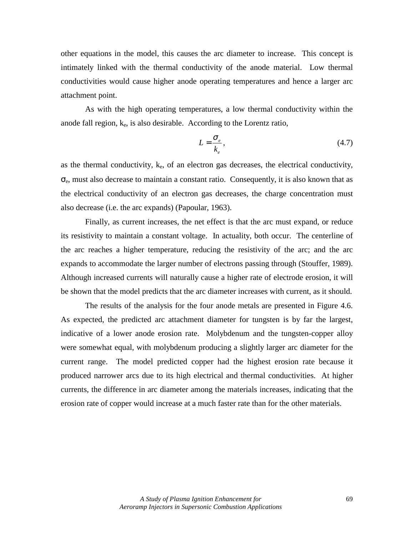other equations in the model, this causes the arc diameter to increase. This concept is intimately linked with the thermal conductivity of the anode material. Low thermal conductivities would cause higher anode operating temperatures and hence a larger arc attachment point.

As with the high operating temperatures, a low thermal conductivity within the anode fall region,  $k_e$ , is also desirable. According to the Lorentz ratio,

$$
L = \frac{\sigma_e}{k_e},\tag{4.7}
$$

as the thermal conductivity,  $k_e$ , of an electron gas decreases, the electrical conductivity,  $\sigma_e$ , must also decrease to maintain a constant ratio. Consequently, it is also known that as the electrical conductivity of an electron gas decreases, the charge concentration must also decrease (i.e. the arc expands) (Papoular, 1963).

Finally, as current increases, the net effect is that the arc must expand, or reduce its resistivity to maintain a constant voltage. In actuality, both occur. The centerline of the arc reaches a higher temperature, reducing the resistivity of the arc; and the arc expands to accommodate the larger number of electrons passing through (Stouffer, 1989). Although increased currents will naturally cause a higher rate of electrode erosion, it will be shown that the model predicts that the arc diameter increases with current, as it should.

 The results of the analysis for the four anode metals are presented in Figure 4.6. As expected, the predicted arc attachment diameter for tungsten is by far the largest, indicative of a lower anode erosion rate. Molybdenum and the tungsten-copper alloy were somewhat equal, with molybdenum producing a slightly larger arc diameter for the current range. The model predicted copper had the highest erosion rate because it produced narrower arcs due to its high electrical and thermal conductivities. At higher currents, the difference in arc diameter among the materials increases, indicating that the erosion rate of copper would increase at a much faster rate than for the other materials.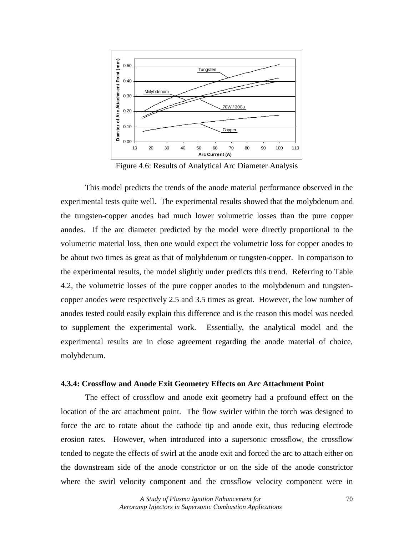

Figure 4.6: Results of Analytical Arc Diameter Analysis

 This model predicts the trends of the anode material performance observed in the experimental tests quite well. The experimental results showed that the molybdenum and the tungsten-copper anodes had much lower volumetric losses than the pure copper anodes. If the arc diameter predicted by the model were directly proportional to the volumetric material loss, then one would expect the volumetric loss for copper anodes to be about two times as great as that of molybdenum or tungsten-copper. In comparison to the experimental results, the model slightly under predicts this trend. Referring to Table 4.2, the volumetric losses of the pure copper anodes to the molybdenum and tungstencopper anodes were respectively 2.5 and 3.5 times as great. However, the low number of anodes tested could easily explain this difference and is the reason this model was needed to supplement the experimental work. Essentially, the analytical model and the experimental results are in close agreement regarding the anode material of choice, molybdenum.

#### **4.3.4: Crossflow and Anode Exit Geometry Effects on Arc Attachment Point**

 The effect of crossflow and anode exit geometry had a profound effect on the location of the arc attachment point. The flow swirler within the torch was designed to force the arc to rotate about the cathode tip and anode exit, thus reducing electrode erosion rates. However, when introduced into a supersonic crossflow, the crossflow tended to negate the effects of swirl at the anode exit and forced the arc to attach either on the downstream side of the anode constrictor or on the side of the anode constrictor where the swirl velocity component and the crossflow velocity component were in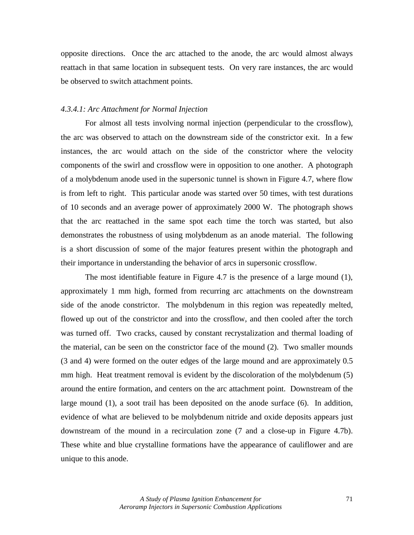opposite directions. Once the arc attached to the anode, the arc would almost always reattach in that same location in subsequent tests. On very rare instances, the arc would be observed to switch attachment points.

### *4.3.4.1: Arc Attachment for Normal Injection*

 For almost all tests involving normal injection (perpendicular to the crossflow), the arc was observed to attach on the downstream side of the constrictor exit. In a few instances, the arc would attach on the side of the constrictor where the velocity components of the swirl and crossflow were in opposition to one another. A photograph of a molybdenum anode used in the supersonic tunnel is shown in Figure 4.7, where flow is from left to right. This particular anode was started over 50 times, with test durations of 10 seconds and an average power of approximately 2000 W. The photograph shows that the arc reattached in the same spot each time the torch was started, but also demonstrates the robustness of using molybdenum as an anode material. The following is a short discussion of some of the major features present within the photograph and their importance in understanding the behavior of arcs in supersonic crossflow.

The most identifiable feature in Figure 4.7 is the presence of a large mound (1), approximately 1 mm high, formed from recurring arc attachments on the downstream side of the anode constrictor. The molybdenum in this region was repeatedly melted, flowed up out of the constrictor and into the crossflow, and then cooled after the torch was turned off. Two cracks, caused by constant recrystalization and thermal loading of the material, can be seen on the constrictor face of the mound (2). Two smaller mounds (3 and 4) were formed on the outer edges of the large mound and are approximately 0.5 mm high. Heat treatment removal is evident by the discoloration of the molybdenum (5) around the entire formation, and centers on the arc attachment point. Downstream of the large mound (1), a soot trail has been deposited on the anode surface (6). In addition, evidence of what are believed to be molybdenum nitride and oxide deposits appears just downstream of the mound in a recirculation zone (7 and a close-up in Figure 4.7b). These white and blue crystalline formations have the appearance of cauliflower and are unique to this anode.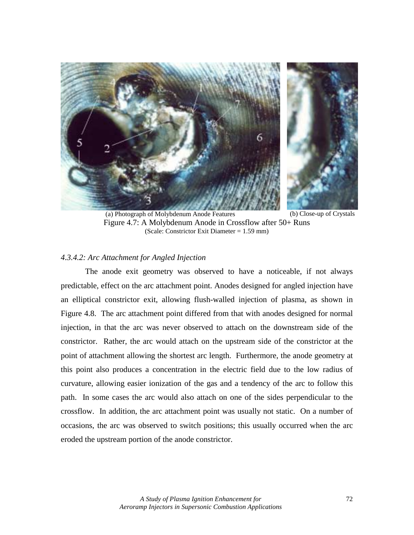

(a) Photograph of Molybdenum Anode Features (b) Close-up of Crystals Figure 4.7: A Molybdenum Anode in Crossflow after 50+ Runs (Scale: Constrictor Exit Diameter = 1.59 mm)

## *4.3.4.2: Arc Attachment for Angled Injection*

The anode exit geometry was observed to have a noticeable, if not always predictable, effect on the arc attachment point. Anodes designed for angled injection have an elliptical constrictor exit, allowing flush-walled injection of plasma, as shown in Figure 4.8. The arc attachment point differed from that with anodes designed for normal injection, in that the arc was never observed to attach on the downstream side of the constrictor. Rather, the arc would attach on the upstream side of the constrictor at the point of attachment allowing the shortest arc length. Furthermore, the anode geometry at this point also produces a concentration in the electric field due to the low radius of curvature, allowing easier ionization of the gas and a tendency of the arc to follow this path. In some cases the arc would also attach on one of the sides perpendicular to the crossflow. In addition, the arc attachment point was usually not static. On a number of occasions, the arc was observed to switch positions; this usually occurred when the arc eroded the upstream portion of the anode constrictor.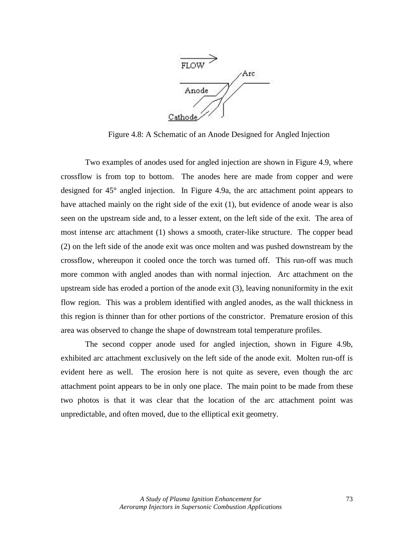

Figure 4.8: A Schematic of an Anode Designed for Angled Injection

 Two examples of anodes used for angled injection are shown in Figure 4.9, where crossflow is from top to bottom. The anodes here are made from copper and were designed for 45° angled injection. In Figure 4.9a, the arc attachment point appears to have attached mainly on the right side of the exit (1), but evidence of anode wear is also seen on the upstream side and, to a lesser extent, on the left side of the exit. The area of most intense arc attachment (1) shows a smooth, crater-like structure. The copper bead (2) on the left side of the anode exit was once molten and was pushed downstream by the crossflow, whereupon it cooled once the torch was turned off. This run-off was much more common with angled anodes than with normal injection. Arc attachment on the upstream side has eroded a portion of the anode exit (3), leaving nonuniformity in the exit flow region. This was a problem identified with angled anodes, as the wall thickness in this region is thinner than for other portions of the constrictor. Premature erosion of this area was observed to change the shape of downstream total temperature profiles.

The second copper anode used for angled injection, shown in Figure 4.9b, exhibited arc attachment exclusively on the left side of the anode exit. Molten run-off is evident here as well. The erosion here is not quite as severe, even though the arc attachment point appears to be in only one place. The main point to be made from these two photos is that it was clear that the location of the arc attachment point was unpredictable, and often moved, due to the elliptical exit geometry.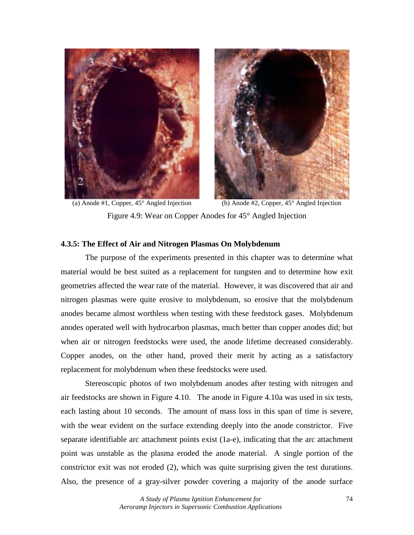



(a) Anode #1, Copper, 45° Angled Injection (b) Anode #2, Copper, 45° Angled Injection Figure 4.9: Wear on Copper Anodes for 45° Angled Injection

# **4.3.5: The Effect of Air and Nitrogen Plasmas On Molybdenum**

 The purpose of the experiments presented in this chapter was to determine what material would be best suited as a replacement for tungsten and to determine how exit geometries affected the wear rate of the material. However, it was discovered that air and nitrogen plasmas were quite erosive to molybdenum, so erosive that the molybdenum anodes became almost worthless when testing with these feedstock gases. Molybdenum anodes operated well with hydrocarbon plasmas, much better than copper anodes did; but when air or nitrogen feedstocks were used, the anode lifetime decreased considerably. Copper anodes, on the other hand, proved their merit by acting as a satisfactory replacement for molybdenum when these feedstocks were used.

 Stereoscopic photos of two molybdenum anodes after testing with nitrogen and air feedstocks are shown in Figure 4.10. The anode in Figure 4.10a was used in six tests, each lasting about 10 seconds. The amount of mass loss in this span of time is severe, with the wear evident on the surface extending deeply into the anode constrictor. Five separate identifiable arc attachment points exist (1a-e), indicating that the arc attachment point was unstable as the plasma eroded the anode material. A single portion of the constrictor exit was not eroded (2), which was quite surprising given the test durations. Also, the presence of a gray-silver powder covering a majority of the anode surface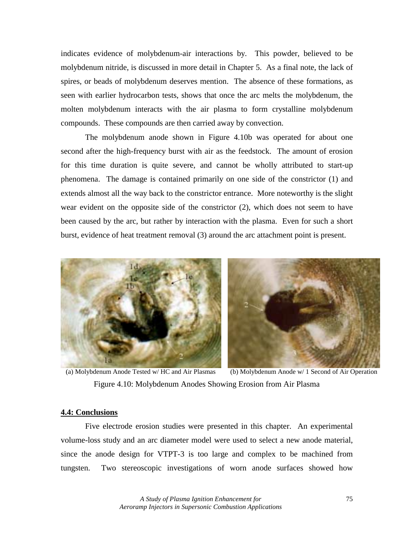indicates evidence of molybdenum-air interactions by. This powder, believed to be molybdenum nitride, is discussed in more detail in Chapter 5. As a final note, the lack of spires, or beads of molybdenum deserves mention. The absence of these formations, as seen with earlier hydrocarbon tests, shows that once the arc melts the molybdenum, the molten molybdenum interacts with the air plasma to form crystalline molybdenum compounds. These compounds are then carried away by convection.

 The molybdenum anode shown in Figure 4.10b was operated for about one second after the high-frequency burst with air as the feedstock. The amount of erosion for this time duration is quite severe, and cannot be wholly attributed to start-up phenomena. The damage is contained primarily on one side of the constrictor (1) and extends almost all the way back to the constrictor entrance. More noteworthy is the slight wear evident on the opposite side of the constrictor (2), which does not seem to have been caused by the arc, but rather by interaction with the plasma. Even for such a short burst, evidence of heat treatment removal (3) around the arc attachment point is present.



(a) Molybdenum Anode Tested w/ HC and Air Plasmas (b) Molybdenum Anode w/ 1 Second of Air Operation Figure 4.10: Molybdenum Anodes Showing Erosion from Air Plasma

## **4.4: Conclusions**

 Five electrode erosion studies were presented in this chapter. An experimental volume-loss study and an arc diameter model were used to select a new anode material, since the anode design for VTPT-3 is too large and complex to be machined from tungsten. Two stereoscopic investigations of worn anode surfaces showed how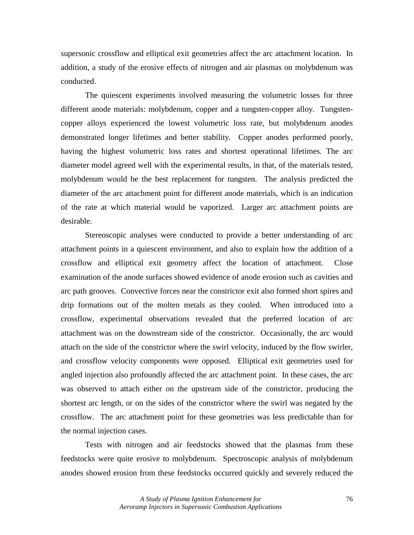supersonic crossflow and elliptical exit geometries affect the arc attachment location. In addition, a study of the erosive effects of nitrogen and air plasmas on molybdenum was conducted.

The quiescent experiments involved measuring the volumetric losses for three different anode materials: molybdenum, copper and a tungsten-copper alloy. Tungstencopper alloys experienced the lowest volumetric loss rate, but molybdenum anodes demonstrated longer lifetimes and better stability. Copper anodes performed poorly, having the highest volumetric loss rates and shortest operational lifetimes. The arc diameter model agreed well with the experimental results, in that, of the materials tested, molybdenum would be the best replacement for tungsten. The analysis predicted the diameter of the arc attachment point for different anode materials, which is an indication of the rate at which material would be vaporized. Larger arc attachment points are desirable.

 Stereoscopic analyses were conducted to provide a better understanding of arc attachment points in a quiescent environment, and also to explain how the addition of a crossflow and elliptical exit geometry affect the location of attachment. Close examination of the anode surfaces showed evidence of anode erosion such as cavities and arc path grooves. Convective forces near the constrictor exit also formed short spires and drip formations out of the molten metals as they cooled. When introduced into a crossflow, experimental observations revealed that the preferred location of arc attachment was on the downstream side of the constrictor. Occasionally, the arc would attach on the side of the constrictor where the swirl velocity, induced by the flow swirler, and crossflow velocity components were opposed. Elliptical exit geometries used for angled injection also profoundly affected the arc attachment point. In these cases, the arc was observed to attach either on the upstream side of the constrictor, producing the shortest arc length, or on the sides of the constrictor where the swirl was negated by the crossflow. The arc attachment point for these geometries was less predictable than for the normal injection cases.

 Tests with nitrogen and air feedstocks showed that the plasmas from these feedstocks were quite erosive to molybdenum. Spectroscopic analysis of molybdenum anodes showed erosion from these feedstocks occurred quickly and severely reduced the